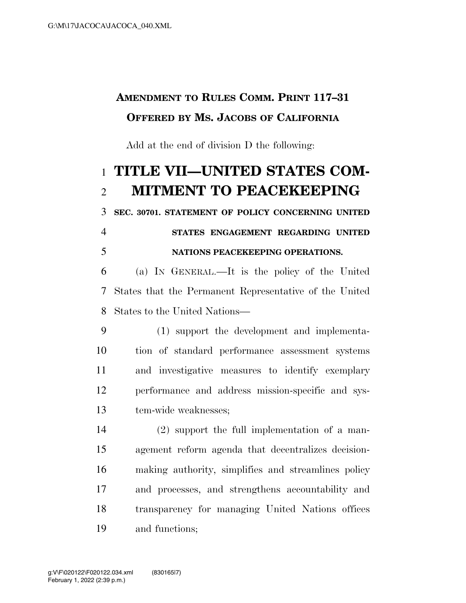# **AMENDMENT TO RULES COMM. PRINT 117–31 OFFERED BY MS. JACOBS OF CALIFORNIA**

Add at the end of division D the following:

# **TITLE VII—UNITED STATES COM-MITMENT TO PEACEKEEPING**

**SEC. 30701. STATEMENT OF POLICY CONCERNING UNITED** 

### **STATES ENGAGEMENT REGARDING UNITED NATIONS PEACEKEEPING OPERATIONS.**

 (a) IN GENERAL.—It is the policy of the United States that the Permanent Representative of the United States to the United Nations—

 (1) support the development and implementa- tion of standard performance assessment systems and investigative measures to identify exemplary performance and address mission-specific and sys-tem-wide weaknesses;

 (2) support the full implementation of a man- agement reform agenda that decentralizes decision- making authority, simplifies and streamlines policy and processes, and strengthens accountability and transparency for managing United Nations offices and functions;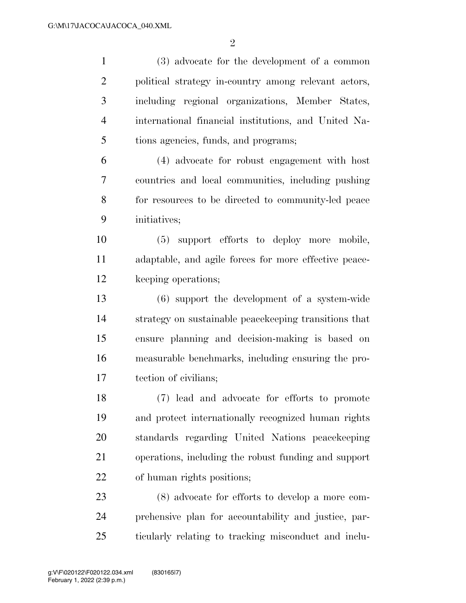$\mathfrak{D}$ 

 (3) advocate for the development of a common political strategy in-country among relevant actors, including regional organizations, Member States, international financial institutions, and United Na- tions agencies, funds, and programs; (4) advocate for robust engagement with host countries and local communities, including pushing for resources to be directed to community-led peace initiatives; (5) support efforts to deploy more mobile, adaptable, and agile forces for more effective peace- keeping operations; (6) support the development of a system-wide strategy on sustainable peacekeeping transitions that ensure planning and decision-making is based on measurable benchmarks, including ensuring the pro- tection of civilians; (7) lead and advocate for efforts to promote and protect internationally recognized human rights standards regarding United Nations peacekeeping operations, including the robust funding and support of human rights positions; (8) advocate for efforts to develop a more com- prehensive plan for accountability and justice, par-ticularly relating to tracking misconduct and inclu-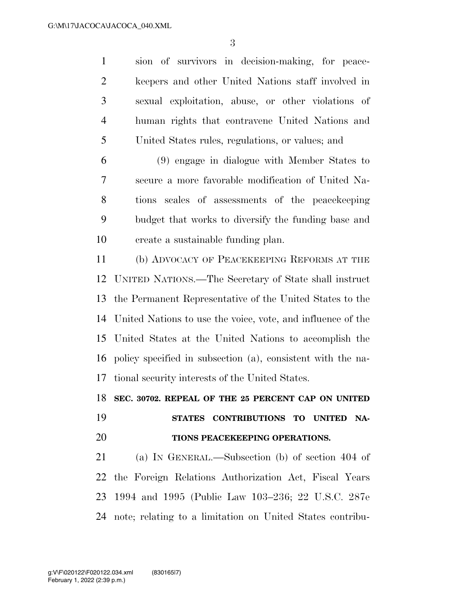sion of survivors in decision-making, for peace- keepers and other United Nations staff involved in sexual exploitation, abuse, or other violations of human rights that contravene United Nations and United States rules, regulations, or values; and

 (9) engage in dialogue with Member States to secure a more favorable modification of United Na- tions scales of assessments of the peacekeeping budget that works to diversify the funding base and create a sustainable funding plan.

 (b) ADVOCACY OF PEACEKEEPING REFORMS AT THE UNITED NATIONS.—The Secretary of State shall instruct the Permanent Representative of the United States to the United Nations to use the voice, vote, and influence of the United States at the United Nations to accomplish the policy specified in subsection (a), consistent with the na-tional security interests of the United States.

**SEC. 30702. REPEAL OF THE 25 PERCENT CAP ON UNITED** 

## **STATES CONTRIBUTIONS TO UNITED NA-TIONS PEACEKEEPING OPERATIONS.**

 (a) IN GENERAL.—Subsection (b) of section 404 of the Foreign Relations Authorization Act, Fiscal Years 1994 and 1995 (Public Law 103–236; 22 U.S.C. 287e note; relating to a limitation on United States contribu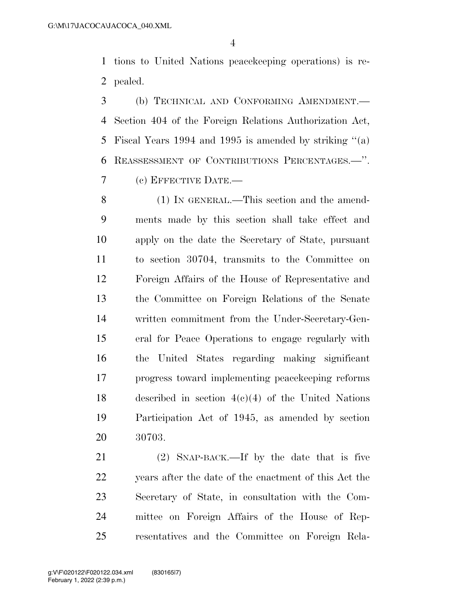tions to United Nations peacekeeping operations) is re-pealed.

 (b) TECHNICAL AND CONFORMING AMENDMENT.— Section 404 of the Foreign Relations Authorization Act, Fiscal Years 1994 and 1995 is amended by striking ''(a) REASSESSMENT OF CONTRIBUTIONS PERCENTAGES.—''. (c) EFFECTIVE DATE.—

 (1) IN GENERAL.—This section and the amend- ments made by this section shall take effect and apply on the date the Secretary of State, pursuant to section 30704, transmits to the Committee on Foreign Affairs of the House of Representative and the Committee on Foreign Relations of the Senate written commitment from the Under-Secretary-Gen- eral for Peace Operations to engage regularly with the United States regarding making significant progress toward implementing peacekeeping reforms described in section 4(c)(4) of the United Nations Participation Act of 1945, as amended by section 30703.

 (2) SNAP-BACK.—If by the date that is five years after the date of the enactment of this Act the Secretary of State, in consultation with the Com- mittee on Foreign Affairs of the House of Rep-resentatives and the Committee on Foreign Rela-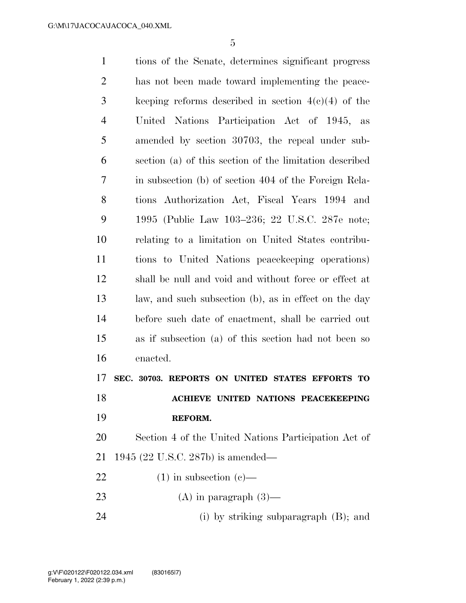| $\mathbf{1}$   | tions of the Senate, determines significant progress    |
|----------------|---------------------------------------------------------|
| $\overline{2}$ | has not been made toward implementing the peace-        |
| 3              | keeping reforms described in section $4(c)(4)$ of the   |
| $\overline{4}$ | United Nations Participation Act of 1945, as            |
| 5              | amended by section 30703, the repeal under sub-         |
| 6              | section (a) of this section of the limitation described |
| 7              | in subsection (b) of section 404 of the Foreign Rela-   |
| 8              | tions Authorization Act, Fiscal Years 1994 and          |
| 9              | 1995 (Public Law 103–236; 22 U.S.C. 287e note;          |
| 10             | relating to a limitation on United States contribu-     |
| 11             | tions to United Nations peace keeping operations)       |
| 12             | shall be null and void and without force or effect at   |
| 13             | law, and such subsection (b), as in effect on the day   |
| 14             | before such date of enactment, shall be carried out     |
| 15             | as if subsection (a) of this section had not been so    |
| 16             | enacted.                                                |
| 17             | SEC. 30703. REPORTS ON UNITED STATES EFFORTS TO         |
| 18             | ACHIEVE UNITED NATIONS PEACEKEEPING                     |
| 19             | REFORM.                                                 |
| 20             | Section 4 of the United Nations Participation Act of    |
| 21             | 1945 (22 U.S.C. 287b) is amended—                       |
| 22             | $(1)$ in subsection $(e)$ —                             |
| 23             | (A) in paragraph $(3)$ —                                |
|                |                                                         |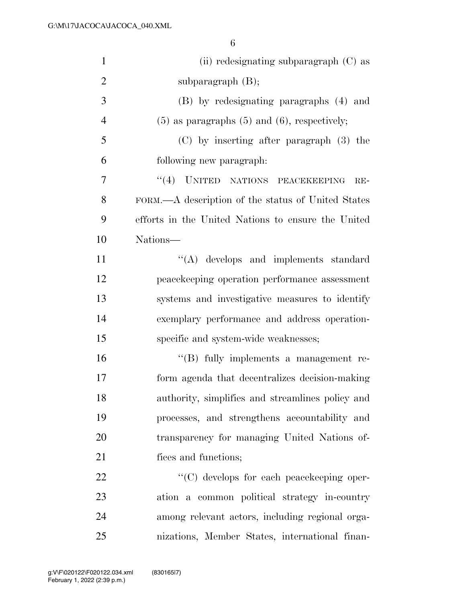| $\mathbf{1}$   | $(ii)$ redesignating subparagraph $(C)$ as          |
|----------------|-----------------------------------------------------|
| $\overline{2}$ | subparagraph $(B)$ ;                                |
| 3              | (B) by redesignating paragraphs (4) and             |
| $\overline{4}$ | $(5)$ as paragraphs $(5)$ and $(6)$ , respectively; |
| 5              | $(C)$ by inserting after paragraph $(3)$ the        |
| 6              | following new paragraph:                            |
| 7              | "(4) UNITED NATIONS PEACEKEEPING<br>$RE-$           |
| 8              | FORM.—A description of the status of United States  |
| 9              | efforts in the United Nations to ensure the United  |
| 10             | Nations-                                            |
| 11             | $\lq\lq$ develops and implements standard           |
| 12             | peacekeeping operation performance assessment       |
| 13             | systems and investigative measures to identify      |
| 14             | exemplary performance and address operation-        |
| 15             | specific and system-wide weaknesses;                |
| 16             | $\lq\lq$ fully implements a management re-          |
| 17             | form agenda that decentralizes decision-making      |
| 18             | authority, simplifies and streamlines policy and    |
| 19             | processes, and strengthens accountability and       |
| 20             | transparency for managing United Nations of-        |
| 21             | fices and functions;                                |
| 22             | "(C) develops for each peacekeeping oper-           |
| 23             | ation a common political strategy in-country        |
| 24             | among relevant actors, including regional orga-     |
| 25             | nizations, Member States, international finan-      |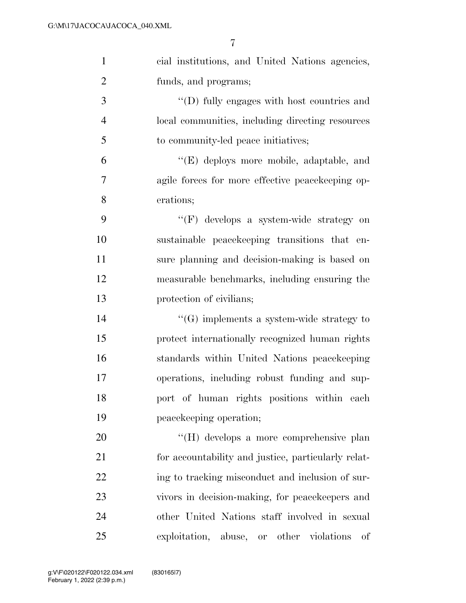| $\mathbf{1}$   | cial institutions, and United Nations agencies,     |
|----------------|-----------------------------------------------------|
| $\overline{2}$ | funds, and programs;                                |
| 3              | "(D) fully engages with host countries and          |
| $\overline{4}$ | local communities, including directing resources    |
| 5              | to community-led peace initiatives;                 |
| 6              | "(E) deploys more mobile, adaptable, and            |
| 7              | agile forces for more effective peacekeeping op-    |
| 8              | erations;                                           |
| 9              | "(F) develops a system-wide strategy on             |
| 10             | sustainable peace keeping transitions that en-      |
| 11             | sure planning and decision-making is based on       |
| 12             | measurable benchmarks, including ensuring the       |
| 13             | protection of civilians;                            |
| 14             | $\lq\lq(G)$ implements a system-wide strategy to    |
| 15             | protect internationally recognized human rights     |
| 16             | standards within United Nations peace keeping       |
| 17             | operations, including robust funding and sup-       |
| 18             | port of human rights positions within each          |
| 19             | peacekeeping operation;                             |
| 20             | "(H) develops a more comprehensive plan             |
| 21             | for accountability and justice, particularly relat- |
| 22             | ing to tracking misconduct and inclusion of sur-    |
| 23             | vivors in decision-making, for peace keepers and    |
| 24             | other United Nations staff involved in sexual       |
| 25             | exploitation, abuse, or other violations<br>οf      |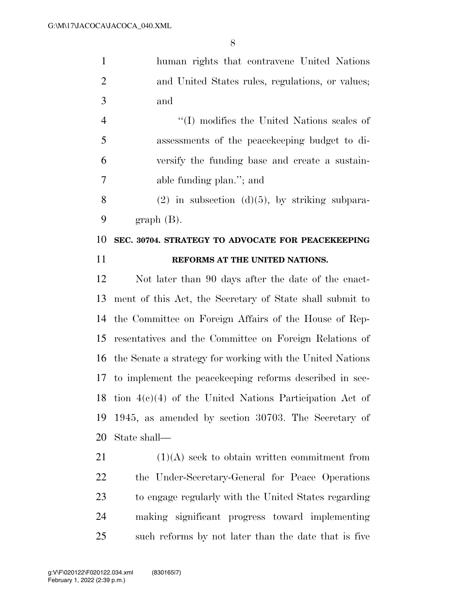human rights that contravene United Nations and United States rules, regulations, or values; and

 ''(I) modifies the United Nations scales of assessments of the peacekeeping budget to di- versify the funding base and create a sustain-able funding plan.''; and

8 (2) in subsection  $(d)(5)$ , by striking subpara-graph (B).

#### **SEC. 30704. STRATEGY TO ADVOCATE FOR PEACEKEEPING REFORMS AT THE UNITED NATIONS.**

 Not later than 90 days after the date of the enact- ment of this Act, the Secretary of State shall submit to the Committee on Foreign Affairs of the House of Rep- resentatives and the Committee on Foreign Relations of the Senate a strategy for working with the United Nations to implement the peacekeeping reforms described in sec- tion 4(c)(4) of the United Nations Participation Act of 1945, as amended by section 30703. The Secretary of State shall—

 $(1)(A)$  seek to obtain written commitment from the Under-Secretary-General for Peace Operations to engage regularly with the United States regarding making significant progress toward implementing such reforms by not later than the date that is five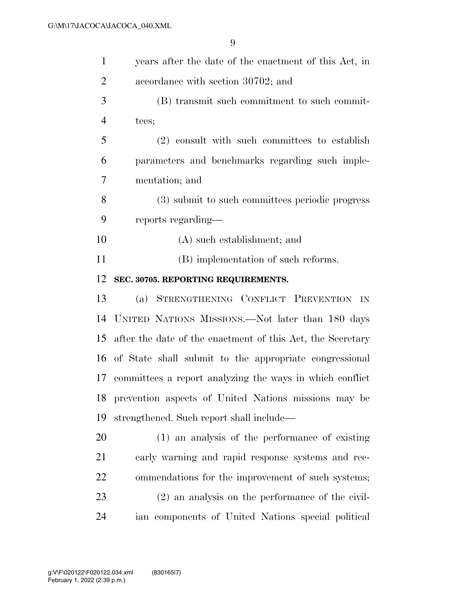| $\mathbf{1}$   | years after the date of the enactment of this Act, in      |
|----------------|------------------------------------------------------------|
| $\overline{2}$ | accordance with section 30702; and                         |
| 3              | (B) transmit such commitment to such commit-               |
| $\overline{4}$ | tees;                                                      |
| 5              | (2) consult with such committees to establish              |
| 6              | parameters and benchmarks regarding such imple-            |
| 7              | mentation; and                                             |
| 8              | (3) submit to such committees periodic progress            |
| 9              | reports regarding—                                         |
| 10             | (A) such establishment; and                                |
| 11             | (B) implementation of such reforms.                        |
| 12             | SEC. 30705. REPORTING REQUIREMENTS.                        |
| 13             | STRENGTHENING CONFLICT PREVENTION IN<br>(a)                |
| 14             | UNITED NATIONS MISSIONS.—Not later than 180 days           |
| 15             | after the date of the enactment of this Act, the Secretary |
| 16             | of State shall submit to the appropriate congressional     |
| 17             | committees a report analyzing the ways in which conflict   |
| 18             | prevention aspects of United Nations missions may be       |
| 19             | strengthened. Such report shall include—                   |
| 20             | (1) an analysis of the performance of existing             |
| 21             | early warning and rapid response systems and rec-          |
| 22             | ommendations for the improvement of such systems;          |
| 23             | $(2)$ an analysis on the performance of the civil-         |
| 24             | ian components of United Nations special political         |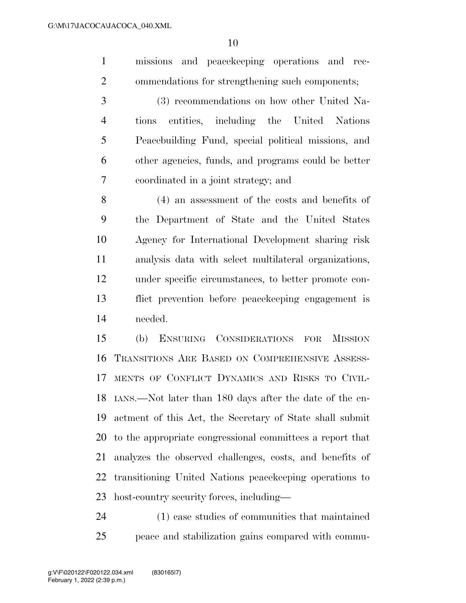missions and peacekeeping operations and rec-ommendations for strengthening such components;

 (3) recommendations on how other United Na- tions entities, including the United Nations Peacebuilding Fund, special political missions, and other agencies, funds, and programs could be better coordinated in a joint strategy; and

 (4) an assessment of the costs and benefits of the Department of State and the United States Agency for International Development sharing risk analysis data with select multilateral organizations, under specific circumstances, to better promote con- flict prevention before peacekeeping engagement is needed.

 (b) ENSURING CONSIDERATIONS FOR MISSION TRANSITIONS ARE BASED ON COMPREHENSIVE ASSESS- MENTS OF CONFLICT DYNAMICS AND RISKS TO CIVIL- IANS.—Not later than 180 days after the date of the en- actment of this Act, the Secretary of State shall submit to the appropriate congressional committees a report that analyzes the observed challenges, costs, and benefits of transitioning United Nations peacekeeping operations to host-country security forces, including—

 (1) case studies of communities that maintained peace and stabilization gains compared with commu-